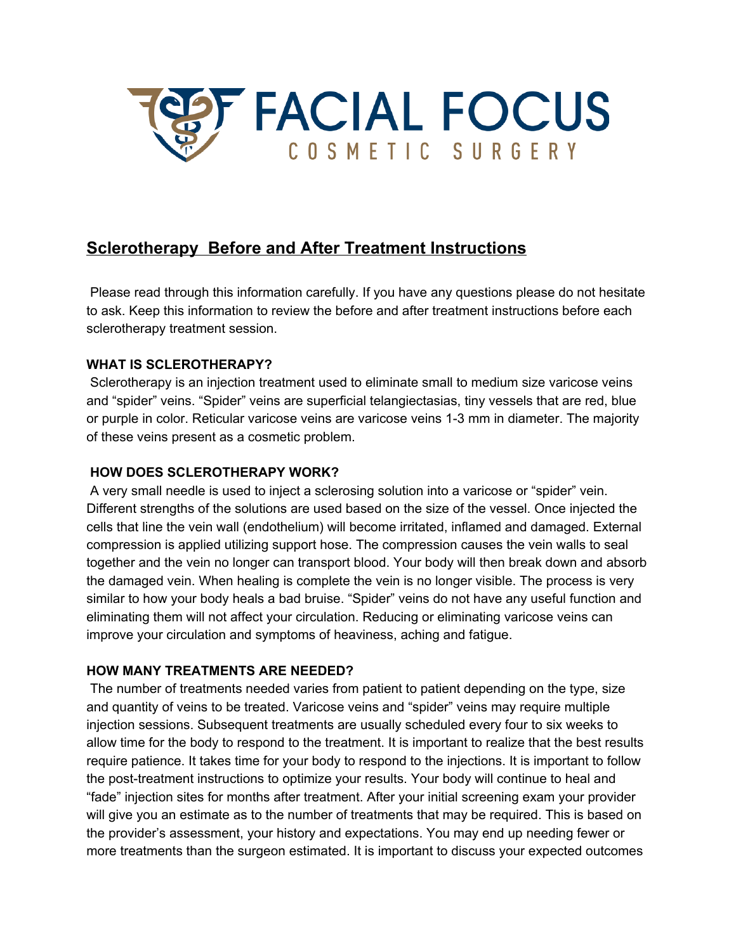

# **Sclerotherapy Before and After Treatment Instructions**

Please read through this information carefully. If you have any questions please do not hesitate to ask. Keep this information to review the before and after treatment instructions before each sclerotherapy treatment session.

# **WHAT IS SCLEROTHERAPY?**

Sclerotherapy is an injection treatment used to eliminate small to medium size varicose veins and "spider" veins. "Spider" veins are superficial telangiectasias, tiny vessels that are red, blue or purple in color. Reticular varicose veins are varicose veins 1-3 mm in diameter. The majority of these veins present as a cosmetic problem.

# **HOW DOES SCLEROTHERAPY WORK?**

A very small needle is used to inject a sclerosing solution into a varicose or "spider" vein. Different strengths of the solutions are used based on the size of the vessel. Once injected the cells that line the vein wall (endothelium) will become irritated, inflamed and damaged. External compression is applied utilizing support hose. The compression causes the vein walls to seal together and the vein no longer can transport blood. Your body will then break down and absorb the damaged vein. When healing is complete the vein is no longer visible. The process is very similar to how your body heals a bad bruise. "Spider" veins do not have any useful function and eliminating them will not affect your circulation. Reducing or eliminating varicose veins can improve your circulation and symptoms of heaviness, aching and fatigue.

# **HOW MANY TREATMENTS ARE NEEDED?**

The number of treatments needed varies from patient to patient depending on the type, size and quantity of veins to be treated. Varicose veins and "spider" veins may require multiple injection sessions. Subsequent treatments are usually scheduled every four to six weeks to allow time for the body to respond to the treatment. It is important to realize that the best results require patience. It takes time for your body to respond to the injections. It is important to follow the post-treatment instructions to optimize your results. Your body will continue to heal and "fade" injection sites for months after treatment. After your initial screening exam your provider will give you an estimate as to the number of treatments that may be required. This is based on the provider's assessment, your history and expectations. You may end up needing fewer or more treatments than the surgeon estimated. It is important to discuss your expected outcomes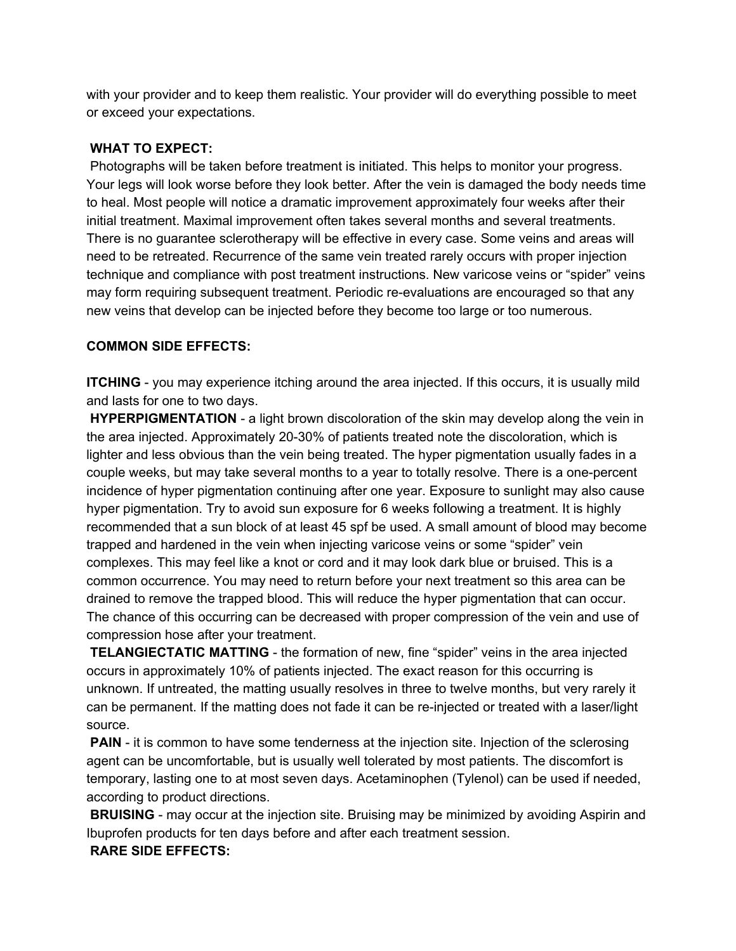with your provider and to keep them realistic. Your provider will do everything possible to meet or exceed your expectations.

### **WHAT TO EXPECT:**

Photographs will be taken before treatment is initiated. This helps to monitor your progress. Your legs will look worse before they look better. After the vein is damaged the body needs time to heal. Most people will notice a dramatic improvement approximately four weeks after their initial treatment. Maximal improvement often takes several months and several treatments. There is no guarantee sclerotherapy will be effective in every case. Some veins and areas will need to be retreated. Recurrence of the same vein treated rarely occurs with proper injection technique and compliance with post treatment instructions. New varicose veins or "spider" veins may form requiring subsequent treatment. Periodic re-evaluations are encouraged so that any new veins that develop can be injected before they become too large or too numerous.

#### **COMMON SIDE EFFECTS:**

**ITCHING** - you may experience itching around the area injected. If this occurs, it is usually mild and lasts for one to two days.

**HYPERPIGMENTATION** - a light brown discoloration of the skin may develop along the vein in the area injected. Approximately 20-30% of patients treated note the discoloration, which is lighter and less obvious than the vein being treated. The hyper pigmentation usually fades in a couple weeks, but may take several months to a year to totally resolve. There is a one-percent incidence of hyper pigmentation continuing after one year. Exposure to sunlight may also cause hyper pigmentation. Try to avoid sun exposure for 6 weeks following a treatment. It is highly recommended that a sun block of at least 45 spf be used. A small amount of blood may become trapped and hardened in the vein when injecting varicose veins or some "spider" vein complexes. This may feel like a knot or cord and it may look dark blue or bruised. This is a common occurrence. You may need to return before your next treatment so this area can be drained to remove the trapped blood. This will reduce the hyper pigmentation that can occur. The chance of this occurring can be decreased with proper compression of the vein and use of compression hose after your treatment.

**TELANGIECTATIC MATTING** - the formation of new, fine "spider" veins in the area injected occurs in approximately 10% of patients injected. The exact reason for this occurring is unknown. If untreated, the matting usually resolves in three to twelve months, but very rarely it can be permanent. If the matting does not fade it can be re-injected or treated with a laser/light source.

**PAIN** - it is common to have some tenderness at the injection site. Injection of the sclerosing agent can be uncomfortable, but is usually well tolerated by most patients. The discomfort is temporary, lasting one to at most seven days. Acetaminophen (Tylenol) can be used if needed, according to product directions.

**BRUISING** - may occur at the injection site. Bruising may be minimized by avoiding Aspirin and Ibuprofen products for ten days before and after each treatment session.

#### **RARE SIDE EFFECTS:**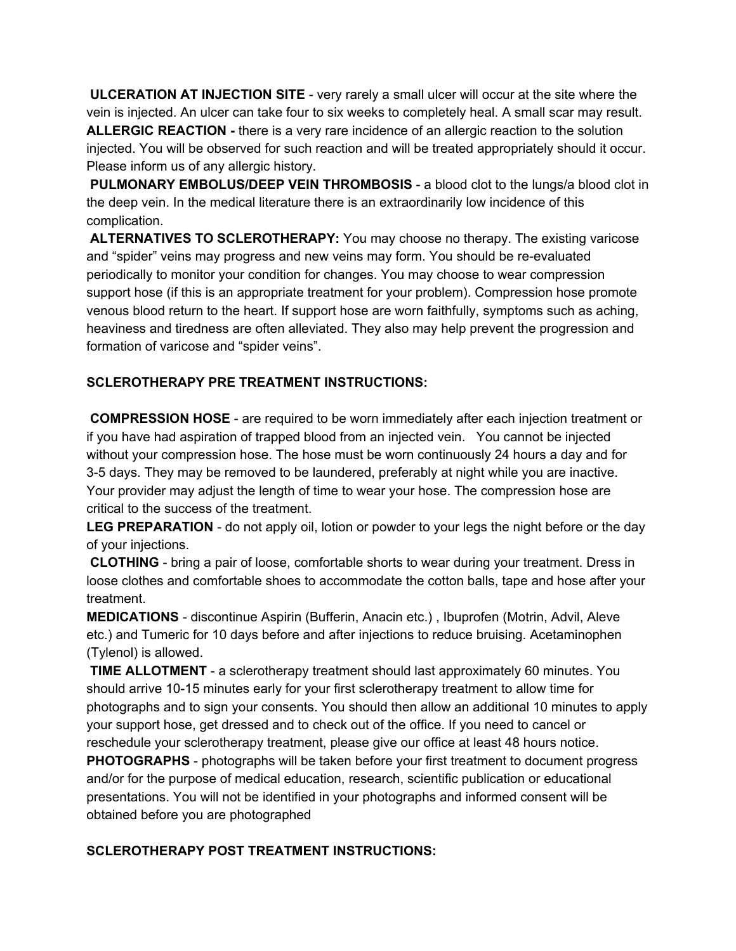**ULCERATION AT INJECTION SITE** - very rarely a small ulcer will occur at the site where the vein is injected. An ulcer can take four to six weeks to completely heal. A small scar may result. **ALLERGIC REACTION -** there is a very rare incidence of an allergic reaction to the solution injected. You will be observed for such reaction and will be treated appropriately should it occur. Please inform us of any allergic history.

**PULMONARY EMBOLUS/DEEP VEIN THROMBOSIS** - a blood clot to the lungs/a blood clot in the deep vein. In the medical literature there is an extraordinarily low incidence of this complication.

**ALTERNATIVES TO SCLEROTHERAPY:** You may choose no therapy. The existing varicose and "spider" veins may progress and new veins may form. You should be re-evaluated periodically to monitor your condition for changes. You may choose to wear compression support hose (if this is an appropriate treatment for your problem). Compression hose promote venous blood return to the heart. If support hose are worn faithfully, symptoms such as aching, heaviness and tiredness are often alleviated. They also may help prevent the progression and formation of varicose and "spider veins".

# **SCLEROTHERAPY PRE TREATMENT INSTRUCTIONS:**

**COMPRESSION HOSE** - are required to be worn immediately after each injection treatment or if you have had aspiration of trapped blood from an injected vein. You cannot be injected without your compression hose. The hose must be worn continuously 24 hours a day and for 3-5 days. They may be removed to be laundered, preferably at night while you are inactive. Your provider may adjust the length of time to wear your hose. The compression hose are critical to the success of the treatment.

**LEG PREPARATION** - do not apply oil, lotion or powder to your legs the night before or the day of your injections.

**CLOTHING** - bring a pair of loose, comfortable shorts to wear during your treatment. Dress in loose clothes and comfortable shoes to accommodate the cotton balls, tape and hose after your treatment.

**MEDICATIONS** - discontinue Aspirin (Bufferin, Anacin etc.) , Ibuprofen (Motrin, Advil, Aleve etc.) and Tumeric for 10 days before and after injections to reduce bruising. Acetaminophen (Tylenol) is allowed.

**TIME ALLOTMENT** - a sclerotherapy treatment should last approximately 60 minutes. You should arrive 10-15 minutes early for your first sclerotherapy treatment to allow time for photographs and to sign your consents. You should then allow an additional 10 minutes to apply your support hose, get dressed and to check out of the office. If you need to cancel or reschedule your sclerotherapy treatment, please give our office at least 48 hours notice. **PHOTOGRAPHS** - photographs will be taken before your first treatment to document progress

and/or for the purpose of medical education, research, scientific publication or educational presentations. You will not be identified in your photographs and informed consent will be obtained before you are photographed

# **SCLEROTHERAPY POST TREATMENT INSTRUCTIONS:**